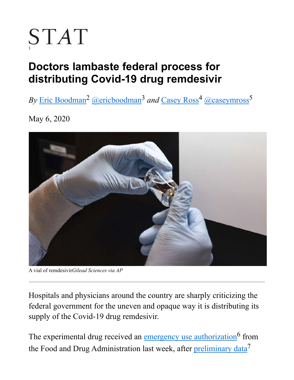# STAT

# **Doctors lambaste federal process for distributing Covid-19 drug remdesivir**

*By* Eric Boodman<sup>2</sup> @ericboodman<sup>3</sup> and Casey Ross<sup>4</sup> @caseymross<sup>5</sup>

May 6, 2020



A vial of remdesivir*Gilead Sciences via AP*

H ospitals and physicians around the country are sharply criticizing the federal government for the uneven and opaque way it is distributing its supply of the Covid-19 drug remdesivir.

The experimental drug received an emergency use authorization<sup>6</sup> from the Food and Drug Administration last week, after preliminary data<sup>7</sup>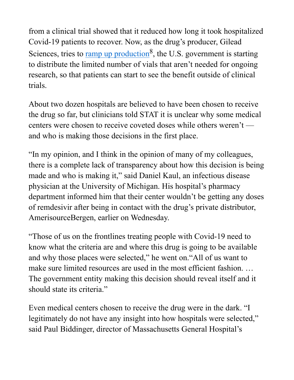from a clinical trial showed that it reduced how long it took hospitalized Covid-19 patients to recover. Now, as the drug's producer, Gilead Sciences, tries to ramp up production<sup>8</sup>, the U.S. government is starting to distribute the limited number of vials that aren't needed for ongoing research, so that patients can start to see the benefit outside of clinical trials.

About two dozen hospitals are believed to have been chosen to receive the drug so far, but clinicians told STAT it is unclear why some medical centers were chosen to receive coveted doses while others weren't and who is making those decisions in the first place.

"In my opinion, and I think in the opinion of many of my colleagues, there is a complete lack of transparency about how this decision is being made and who is making it," said Daniel Kaul, an infectious disease physician at the University of Michigan. His hospital's pharmacy department informed him that their center wouldn't be getting any doses of remdesivir after being in contact with the drug's private distributor, AmerisourceBergen, earlier on Wednesday.

"Those of us on the frontlines treating people with Covid-19 need to know what the criteria are and where this drug is going to be available and why those places were selected," he went on."All of us want to make sure limited resources are used in the most efficient fashion. … The government entity making this decision should reveal itself and it should state its criteria."

Even medical centers chosen to receive the drug were in the dark. "I legitimately do not have any insight into how hospitals were selected," said Paul Biddinger, director of Massachusetts General Hospital's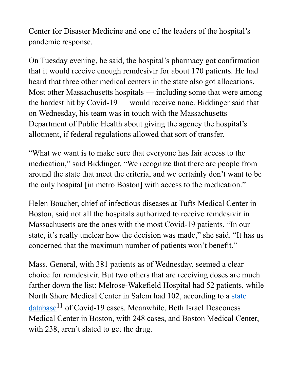Center for Disaster Medicine and one of the leaders of the hospital's pandemic response.

On Tuesday evening, he said, the hospital's pharmacy got confirmation that it would receive enough remdesivir for about 170 patients. He had heard that three other medical centers in the state also got allocations. Most other Massachusetts hospitals — including some that were among the hardest hit by Covid-19 — would receive none. Biddinger said that on Wednesday, his team was in touch with the Massachusetts Department of Public Health about giving the agency the hospital's allotment, if federal regulations allowed that sort of transfer.

"What we want is to make sure that everyone has fair access to the medication," said Biddinger. "We recognize that there are people from around the state that meet the criteria, and we certainly don't want to be the only hospital [in metro Boston] with access to the medication."

Helen Boucher, chief of infectious diseases at Tufts Medical Center in Boston, said not all the hospitals authorized to receive remdesivir in Massachusetts are the ones with the most Covid-19 patients. "In our state, it's really unclear how the decision was made," she said. "It has us concerned that the maximum number of patients won't benefit."

Mass. General, with 381 patients as of Wednesday, seemed a clear choice for remdesivir. But two others that are receiving doses are much farther down the list: Melrose-Wakefield Hospital had 52 patients, while North Shore Medical Center in Salem had 102, according to a state  $database<sup>11</sup>$  of Covid-19 cases. Meanwhile, Beth Israel Deaconess Medical Center in Boston, with 248 cases, and Boston Medical Center, with 238, aren't slated to get the drug.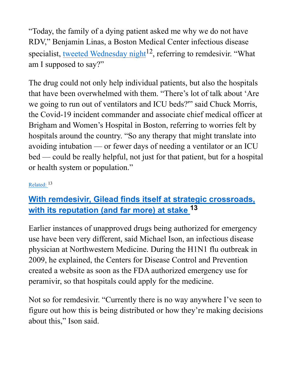"Today, the family of a dying patient asked me why we do not have RDV," Benjamin Linas, a Boston Medical Center infectious disease specialist, tweeted Wednesday night<sup>12</sup>, referring to remdesivir. "What am I supposed to say?"

The drug could not only help individual patients, but also the hospitals that have been overwhelmed with them. "There's lot of talk about 'Are we going to run out of ventilators and ICU beds?'" said Chuck Morris, the Covid-19 incident commander and associate chief medical officer at Brigham and Women's Hospital in Boston, referring to worries felt by hospitals around the country. "So any therapy that might translate into avoiding intubation — or fewer days of needing a ventilator or an ICU bed — could be really helpful, not just for that patient, but for a hospital or health system or population."

#### Related: 13

## **With remdesivir, Gilead finds itself at strategic crossroads, with its reputation (and far more) at stake 13**

Earlier instances of unapproved drugs being authorized for emergency use have been very different, said Michael Ison, an infectious disease physician at Northwestern Medicine. During the H1N1 flu outbreak in 2009, he explained, the Centers for Disease Control and Prevention created a website as soon as the FDA authorized emergency use for peramivir, so that hospitals could apply for the medicine.

Not so for remdesivir. "Currently there is no way anywhere I've seen to figure out how this is being distributed or how they're making decisions about this," Ison said.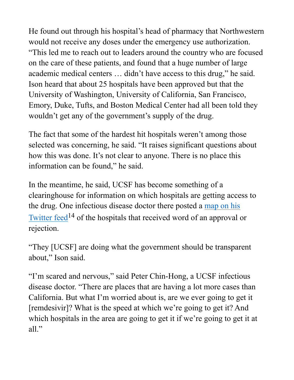He found out through his hospital's head of pharmacy that Northwestern would not receive any doses under the emergency use authorization. "This led me to reach out to leaders around the country who are focused on the care of these patients, and found that a huge number of large academic medical centers … didn't have access to this drug," he said. Ison heard that about 25 hospitals have been approved but that the University of Washington, University of California, San Francisco, Emory, Duke, Tufts, and Boston Medical Center had all been told they wouldn't get any of the government's supply of the drug.

The fact that some of the hardest hit hospitals weren't among those selected was concerning, he said. "It raises significant questions about how this was done. It's not clear to anyone. There is no place this information can be found," he said.

In the meantime, he said, UCSF has become something of a clearinghouse for information on which hospitals are getting access to the drug. One infectious disease doctor there posted a map on his Twitter feed<sup>14</sup> of the hospitals that received word of an approval or rejection.

"They [UCSF] are doing what the government should be transparent about," Ison said.

"I'm scared and nervous," said Peter Chin-Hong, a UCSF infectious disease doctor. "There are places that are having a lot more cases than California. But what I'm worried about is, are we ever going to get it [remdesivir]? What is the speed at which we're going to get it? And which hospitals in the area are going to get it if we're going to get it at all."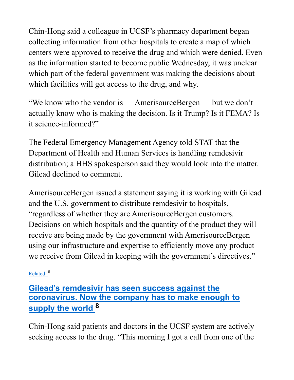Chin-Hong said a colleague in UCSF's pharmacy department began collecting information from other hospitals to create a map of which centers were approved to receive the drug and which were denied. Even as the information started to become public Wednesday, it was unclear which part of the federal government was making the decisions about which facilities will get access to the drug, and why.

"We know who the vendor is — AmerisourceBergen — but we don't actually know who is making the decision. Is it Trump? Is it FEMA? Is it science-informed?"

The Federal Emergency Management Agency told STAT that the Department of Health and Human Services is handling remdesivir distribution; a HHS spokesperson said they would look into the matter. Gilead declined to comment.

AmerisourceBergen issued a statement saying it is working with Gilead and the U.S. government to distribute remdesivir to hospitals, "regardless of whether they are AmerisourceBergen customers. Decisions on which hospitals and the quantity of the product they will receive are being made by the government with AmerisourceBergen using our infrastructure and expertise to efficiently move any product we receive from Gilead in keeping with the government's directives."

#### Related: 8

## **Gilead's remdesivir has seen success against the coronavirus. Now the company has to make enough to supply the world 8**

Chin-Hong said patients and doctors in the UCSF system are actively seeking access to the drug. "This morning I got a call from one of the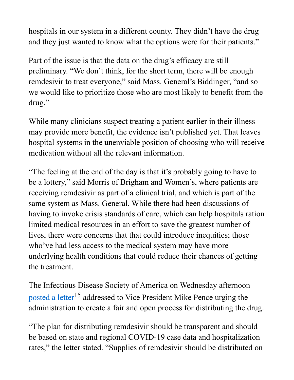hospitals in our system in a different county. They didn't have the drug and they just wanted to know what the options were for their patients."

Part of the issue is that the data on the drug's efficacy are still preliminary. "We don't think, for the short term, there will be enough remdesivir to treat everyone," said Mass. General's Biddinger, "and so we would like to prioritize those who are most likely to benefit from the drug."

While many clinicians suspect treating a patient earlier in their illness may provide more benefit, the evidence isn't published yet. That leaves hospital systems in the unenviable position of choosing who will receive medication without all the relevant information.

"The feeling at the end of the day is that it's probably going to have to be a lottery," said Morris of Brigham and Women's, where patients are receiving remdesivir as part of a clinical trial, and which is part of the same system as Mass. General. While there had been discussions of having to invoke crisis standards of care, which can help hospitals ration limited medical resources in an effort to save the greatest number of lives, there were concerns that that could introduce inequities; those who've had less access to the medical system may have more underlying health conditions that could reduce their chances of getting the treatment.

The Infectious Disease Society of America on Wednesday afternoon posted a letter<sup>15</sup> addressed to Vice President Mike Pence urging the administration to create a fair and open process for distributing the drug.

"The plan for distributing remdesivir should be transparent and should be based on state and regional COVID-19 case data and hospitalization rates," the letter stated. "Supplies of remdesivir should be distributed on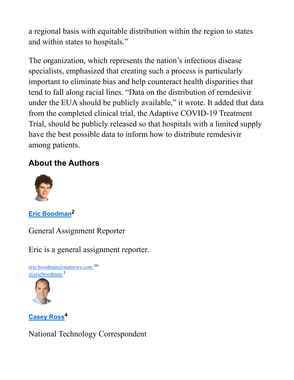a regional basis with equitable distribution within the region to states and within states to hospitals."

The organization, which represents the nation's infectious disease specialists, emphasized that creating such a process is particularly important to eliminate bias and help counteract health disparities that tend to fall along racial lines. "Data on the distribution of remdesivir under the EUA should be publicly available," it wrote. It added that data from the completed clinical trial, the Adaptive COVID-19 Treatment Trial, should be publicly released so that hospitals with a limited supply have the best possible data to inform how to distribute remdesivir among patients.

### **About the Authors**



**Eric Boodman2**

General Assignment Reporter

Eric is a general assignment reporter.



#### **Casey Ross<sup>4</sup>**

National Technology Correspondent